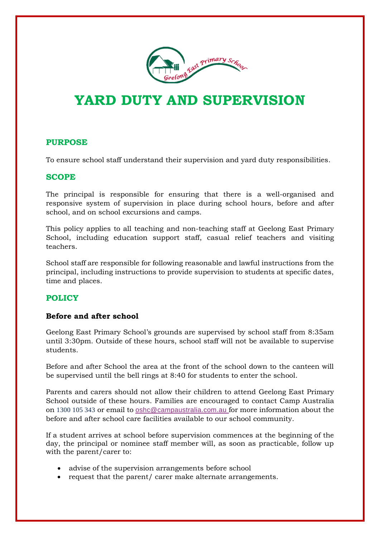

# **YARD DUTY AND SUPERVISION**

## **PURPOSE**

To ensure school staff understand their supervision and yard duty responsibilities.

### **SCOPE**

The principal is responsible for ensuring that there is a well-organised and responsive system of supervision in place during school hours, before and after school, and on school excursions and camps.

This policy applies to all teaching and non-teaching staff at Geelong East Primary School, including education support staff, casual relief teachers and visiting teachers.

School staff are responsible for following reasonable and lawful instructions from the principal, including instructions to provide supervision to students at specific dates, time and places.

## **POLICY**

#### **Before and after school**

Geelong East Primary School's grounds are supervised by school staff from 8:35am until 3:30pm. Outside of these hours, school staff will not be available to supervise students.

Before and after School the area at the front of the school down to the canteen will be supervised until the bell rings at 8:40 for students to enter the school.

Parents and carers should not allow their children to attend Geelong East Primary School outside of these hours. Families are encouraged to contact Camp Australia on 1300 105 343 or email to [oshc@campaustralia.com.au](mailto:%20oshc@campaustralia.com.au) for more information about the before and after school care facilities available to our school community.

If a student arrives at school before supervision commences at the beginning of the day, the principal or nominee staff member will, as soon as practicable, follow up with the parent/carer to:

- advise of the supervision arrangements before school
- request that the parent/ carer make alternate arrangements.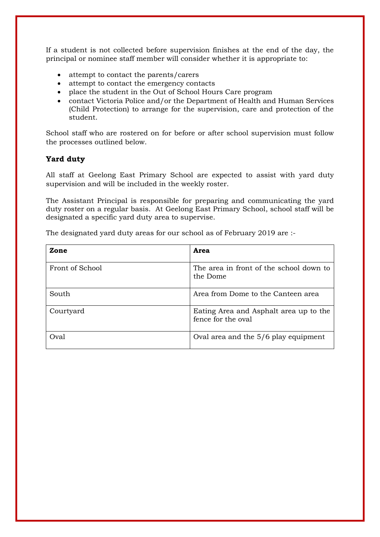If a student is not collected before supervision finishes at the end of the day, the principal or nominee staff member will consider whether it is appropriate to:

- attempt to contact the parents/carers
- attempt to contact the emergency contacts
- place the student in the Out of School Hours Care program
- contact Victoria Police and/or the Department of Health and Human Services (Child Protection) to arrange for the supervision, care and protection of the student.

School staff who are rostered on for before or after school supervision must follow the processes outlined below.

#### **Yard duty**

All staff at Geelong East Primary School are expected to assist with yard duty supervision and will be included in the weekly roster.

The Assistant Principal is responsible for preparing and communicating the yard duty roster on a regular basis. At Geelong East Primary School, school staff will be designated a specific yard duty area to supervise.

The designated yard duty areas for our school as of February 2019 are :-

| Zone            | Area                                                         |
|-----------------|--------------------------------------------------------------|
| Front of School | The area in front of the school down to<br>the Dome          |
| South           | Area from Dome to the Canteen area                           |
| Courtyard       | Eating Area and Asphalt area up to the<br>fence for the oval |
| Oval            | Oval area and the 5/6 play equipment                         |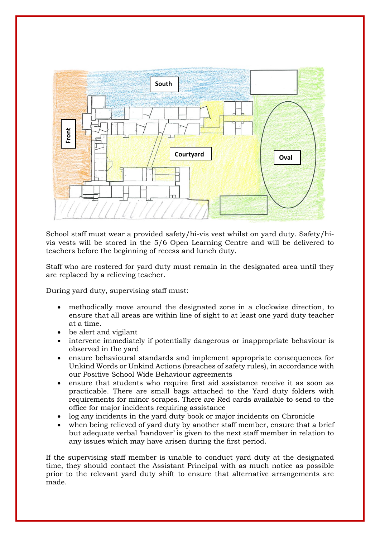

School staff must wear a provided safety/hi-vis vest whilst on yard duty. Safety/hivis vests will be stored in the 5/6 Open Learning Centre and will be delivered to teachers before the beginning of recess and lunch duty.

Staff who are rostered for yard duty must remain in the designated area until they are replaced by a relieving teacher.

During yard duty, supervising staff must:

- methodically move around the designated zone in a clockwise direction, to ensure that all areas are within line of sight to at least one yard duty teacher at a time.
- be alert and vigilant
- intervene immediately if potentially dangerous or inappropriate behaviour is observed in the yard
- ensure behavioural standards and implement appropriate consequences for Unkind Words or Unkind Actions (breaches of safety rules), in accordance with our Positive School Wide Behaviour agreements
- ensure that students who require first aid assistance receive it as soon as practicable. There are small bags attached to the Yard duty folders with requirements for minor scrapes. There are Red cards available to send to the office for major incidents requiring assistance
- log any incidents in the yard duty book or major incidents on Chronicle
- when being relieved of yard duty by another staff member, ensure that a brief but adequate verbal 'handover' is given to the next staff member in relation to any issues which may have arisen during the first period.

If the supervising staff member is unable to conduct yard duty at the designated time, they should contact the Assistant Principal with as much notice as possible prior to the relevant yard duty shift to ensure that alternative arrangements are made.